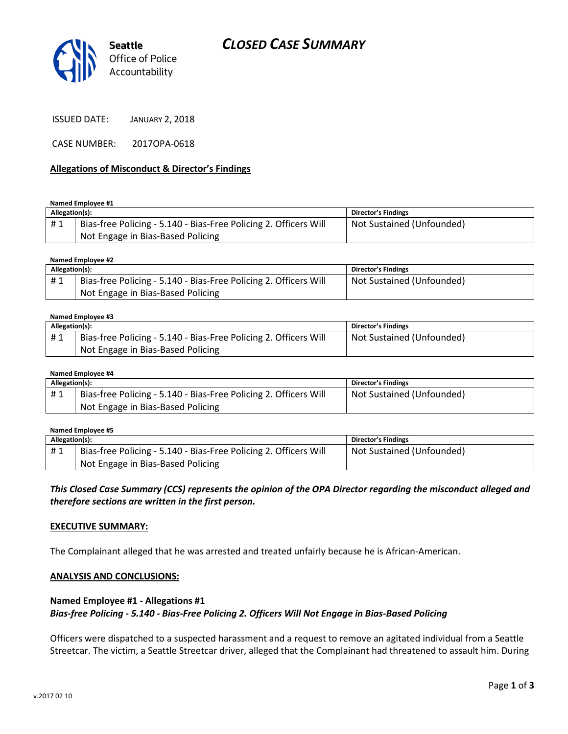

ISSUED DATE: JANUARY 2, 2018

CASE NUMBER: 2017OPA-0618

#### **Allegations of Misconduct & Director's Findings**

**Named Employee #1**

| Allegation(s): |                                                                  | Director's Findings       |
|----------------|------------------------------------------------------------------|---------------------------|
| #1             | Bias-free Policing - 5.140 - Bias-Free Policing 2. Officers Will | Not Sustained (Unfounded) |
|                | Not Engage in Bias-Based Policing                                |                           |

**Named Employee #2**

| Allegation(s): |                                                                  | <b>Director's Findings</b> |
|----------------|------------------------------------------------------------------|----------------------------|
| #1             | Bias-free Policing - 5.140 - Bias-Free Policing 2. Officers Will | Not Sustained (Unfounded)  |
|                | Not Engage in Bias-Based Policing                                |                            |

#### **Named Employee #3**

| Allegation(s): |                                                                  | <b>Director's Findings</b> |
|----------------|------------------------------------------------------------------|----------------------------|
| #1             | Bias-free Policing - 5.140 - Bias-Free Policing 2. Officers Will | Not Sustained (Unfounded)  |
|                | Not Engage in Bias-Based Policing                                |                            |

#### **Named Employee #4**

| Allegation(s): |                                                                  | <b>Director's Findings</b> |
|----------------|------------------------------------------------------------------|----------------------------|
| #1             | Bias-free Policing - 5.140 - Bias-Free Policing 2. Officers Will | Not Sustained (Unfounded)  |
|                | Not Engage in Bias-Based Policing                                |                            |

#### **Named Employee #5**

| Allegation(s): |                                                                  | <b>Director's Findings</b> |
|----------------|------------------------------------------------------------------|----------------------------|
| #1             | Bias-free Policing - 5.140 - Bias-Free Policing 2. Officers Will | Not Sustained (Unfounded)  |
|                | Not Engage in Bias-Based Policing                                |                            |

*This Closed Case Summary (CCS) represents the opinion of the OPA Director regarding the misconduct alleged and therefore sections are written in the first person.* 

#### **EXECUTIVE SUMMARY:**

The Complainant alleged that he was arrested and treated unfairly because he is African-American.

#### **ANALYSIS AND CONCLUSIONS:**

# **Named Employee #1 - Allegations #1** *Bias-free Policing - 5.140 - Bias-Free Policing 2. Officers Will Not Engage in Bias-Based Policing*

Officers were dispatched to a suspected harassment and a request to remove an agitated individual from a Seattle Streetcar. The victim, a Seattle Streetcar driver, alleged that the Complainant had threatened to assault him. During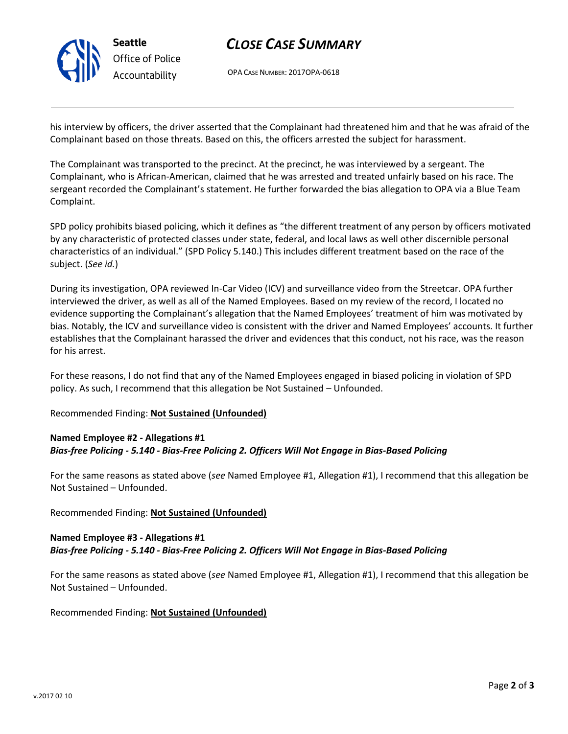

# *CLOSE CASE SUMMARY*

OPA CASE NUMBER: 2017OPA-0618

his interview by officers, the driver asserted that the Complainant had threatened him and that he was afraid of the Complainant based on those threats. Based on this, the officers arrested the subject for harassment.

The Complainant was transported to the precinct. At the precinct, he was interviewed by a sergeant. The Complainant, who is African-American, claimed that he was arrested and treated unfairly based on his race. The sergeant recorded the Complainant's statement. He further forwarded the bias allegation to OPA via a Blue Team Complaint.

SPD policy prohibits biased policing, which it defines as "the different treatment of any person by officers motivated by any characteristic of protected classes under state, federal, and local laws as well other discernible personal characteristics of an individual." (SPD Policy 5.140.) This includes different treatment based on the race of the subject. (*See id.*)

During its investigation, OPA reviewed In-Car Video (ICV) and surveillance video from the Streetcar. OPA further interviewed the driver, as well as all of the Named Employees. Based on my review of the record, I located no evidence supporting the Complainant's allegation that the Named Employees' treatment of him was motivated by bias. Notably, the ICV and surveillance video is consistent with the driver and Named Employees' accounts. It further establishes that the Complainant harassed the driver and evidences that this conduct, not his race, was the reason for his arrest.

For these reasons, I do not find that any of the Named Employees engaged in biased policing in violation of SPD policy. As such, I recommend that this allegation be Not Sustained – Unfounded.

Recommended Finding: **Not Sustained (Unfounded)**

# **Named Employee #2 - Allegations #1** *Bias-free Policing - 5.140 - Bias-Free Policing 2. Officers Will Not Engage in Bias-Based Policing*

For the same reasons as stated above (*see* Named Employee #1, Allegation #1), I recommend that this allegation be Not Sustained – Unfounded.

# Recommended Finding: **Not Sustained (Unfounded)**

#### **Named Employee #3 - Allegations #1** *Bias-free Policing - 5.140 - Bias-Free Policing 2. Officers Will Not Engage in Bias-Based Policing*

For the same reasons as stated above (*see* Named Employee #1, Allegation #1), I recommend that this allegation be Not Sustained – Unfounded.

# Recommended Finding: **Not Sustained (Unfounded)**